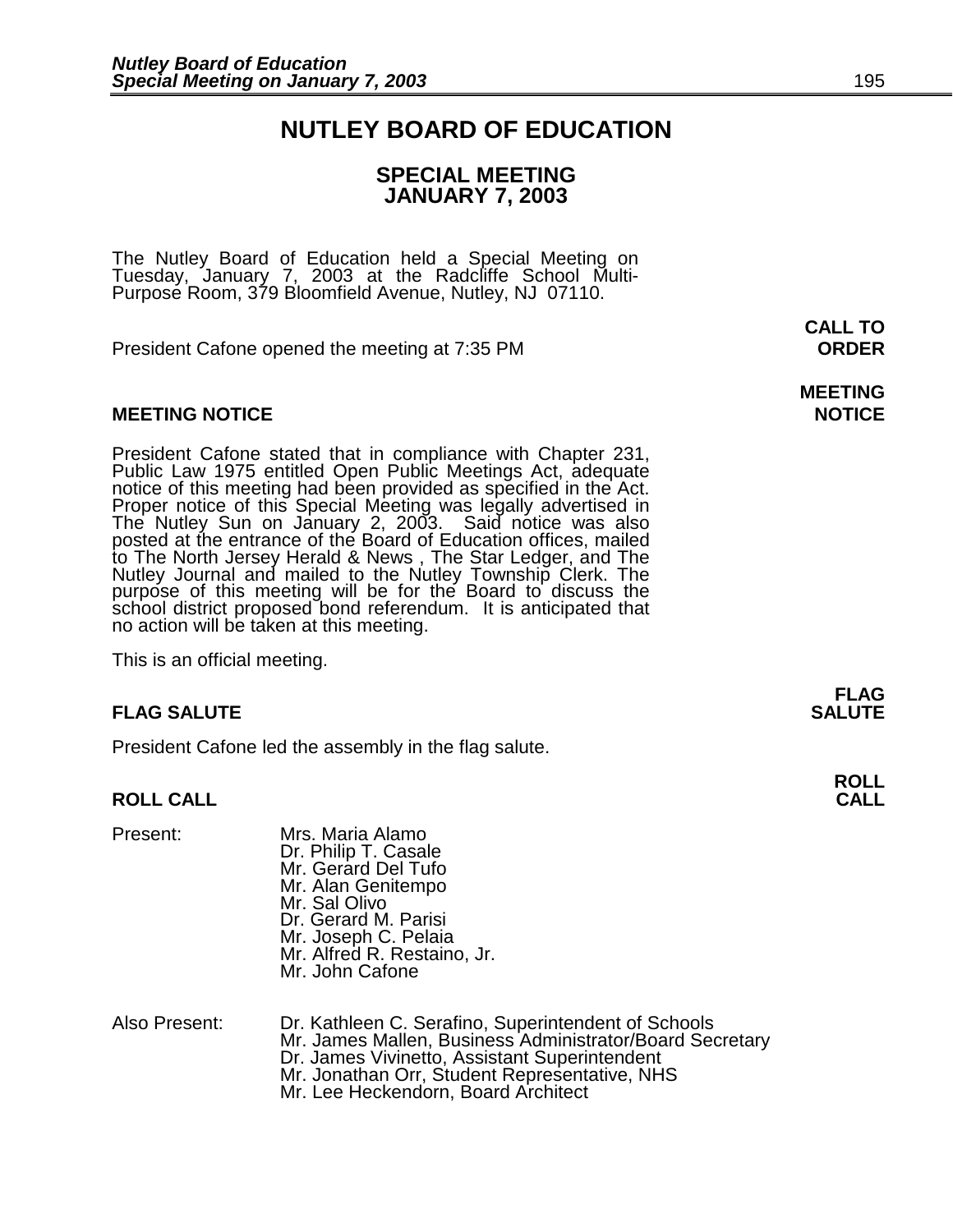## **NUTLEY BOARD OF EDUCATION**

## **SPECIAL MEETING JANUARY 7, 2003**

The Nutley Board of Education held a Special Meeting on Tuesday, January 7, 2003 at the Radcliffe School Multi-Purpose Room, 379 Bloomfield Avenue, Nutley, NJ 07110.

President Cafone opened the meeting at 7:35 PM **ORDER**

## **MEETING NOTICE NOTICE AND INCLUSION CONTROL**

President Cafone stated that in compliance with Chapter 231, Public Law 1975 entitled Open Public Meetings Act, adequate notice of this meeting had been provided as specified in the Act. Proper notice of this Special Meeting was legally advertised in The Nutley Sun on January 2, 2003. Said notice was also posted at the entrance of the Board of Education offices, mailed to The North Jersey Herald & News , The Star Ledger, and The Nutley Journal and mailed to the Nutley Township Clerk. The purpose of this meeting will be for the Board to discuss the school district proposed bond referendum. It is anticipated that no action will be taken at this meeting.

This is an official meeting.

## **FLAG SALUTE** SALUTE SALUTE SALUTE SALUTE SALUTE SALUTE SALUTE SALUTE SALUTE SALUTE SALUTE SALUTE SALUTE SALUTE SALUTE

President Cafone led the assembly in the flag salute.

## **ROLL CALL**

| Present: | Mrs. Maria Alamo                                    |
|----------|-----------------------------------------------------|
|          | Dr. Philip T. Casale                                |
|          | Mr. Gerard Del Tufo                                 |
|          | Mr. Alan Genitempo                                  |
|          | Mr. Sal Olivo                                       |
|          | Dr. Gerard M. Parisi                                |
|          | Mr. Joseph C. Pelaia<br>Mr. Alfred R. Restaino, Jr. |
|          |                                                     |
|          | Mr. John Cafone                                     |
|          |                                                     |
|          |                                                     |

Also Present: Dr. Kathleen C. Serafino, Superintendent of Schools Mr. James Mallen, Business Administrator/Board Secretary Dr. James Vivinetto, Assistant Superintendent Mr. Jonathan Orr, Student Representative, NHS Mr. Lee Heckendorn, Board Architect

 **CALL TO** 

**MEETING** 

**FLAG** 

**ROLL**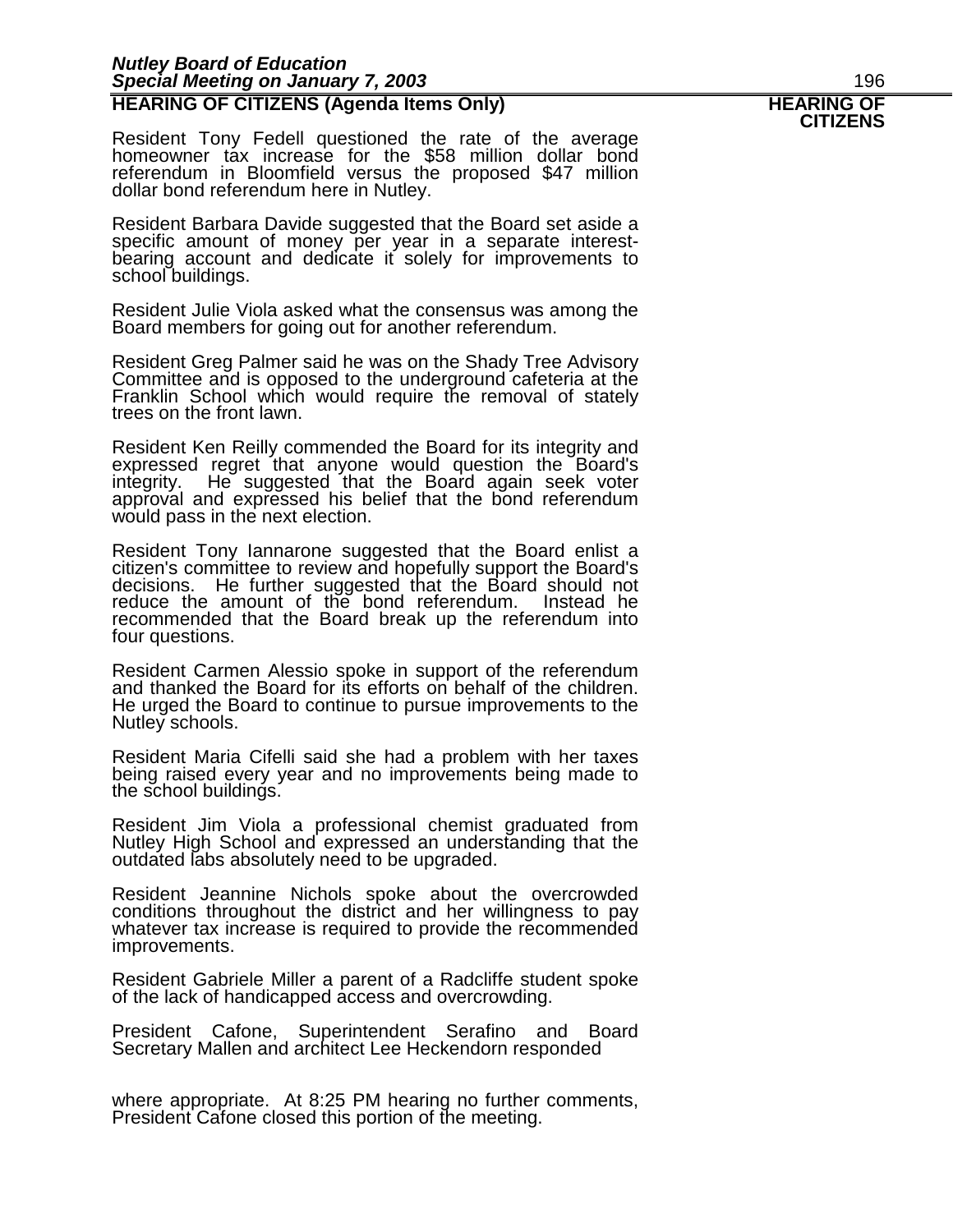## *Nutley Board of Education Special Meeting on January 7, 2003* 196 **HEARING OF CITIZENS (Agenda Items Only) HEARING OF CITIZENS**

Resident Tony Fedell questioned the rate of the average homeowner tax increase for the \$58 million dollar bond referendum in Bloomfield versus the proposed \$47 million dollar bond referendum here in Nutley.

Resident Barbara Davide suggested that the Board set aside a specific amount of money per year in a separate interestbearing account and dedicate it solely for improvements to school buildings.

Resident Julie Viola asked what the consensus was among the Board members for going out for another referendum.

Resident Greg Palmer said he was on the Shady Tree Advisory Committee and is opposed to the underground cafeteria at the Franklin School which would require the removal of stately trees on the front lawn.

Resident Ken Reilly commended the Board for its integrity and expressed regret that anyone would question the Board's integrity. He suggested that the Board again seek voter approval and expressed his belief that the bond referendum would pass in the next election.

Resident Tony Iannarone suggested that the Board enlist a citizen's committee to review and hopefully support the Board's decisions. He further suggested that the Board should not reduce the amount of the bond referendum. Instead he recommended that the Board break up the referendum into four questions.

Resident Carmen Alessio spoke in support of the referendum and thanked the Board for its efforts on behalf of the children. He urged the Board to continue to pursue improvements to the Nutley schools.

Resident Maria Cifelli said she had a problem with her taxes being raised every year and no improvements being made to the school buildings.

Resident Jim Viola a professional chemist graduated from Nutley High School and expressed an understanding that the outdated labs absolutely need to be upgraded.

Resident Jeannine Nichols spoke about the overcrowded conditions throughout the district and her willingness to pay whatever tax increase is required to provide the recommended improvements.

Resident Gabriele Miller a parent of a Radcliffe student spoke of the lack of handicapped access and overcrowding.

President Cafone, Superintendent Serafino and Board Secretary Mallen and architect Lee Heckendorn responded

where appropriate. At 8:25 PM hearing no further comments, President Cafone closed this portion of the meeting.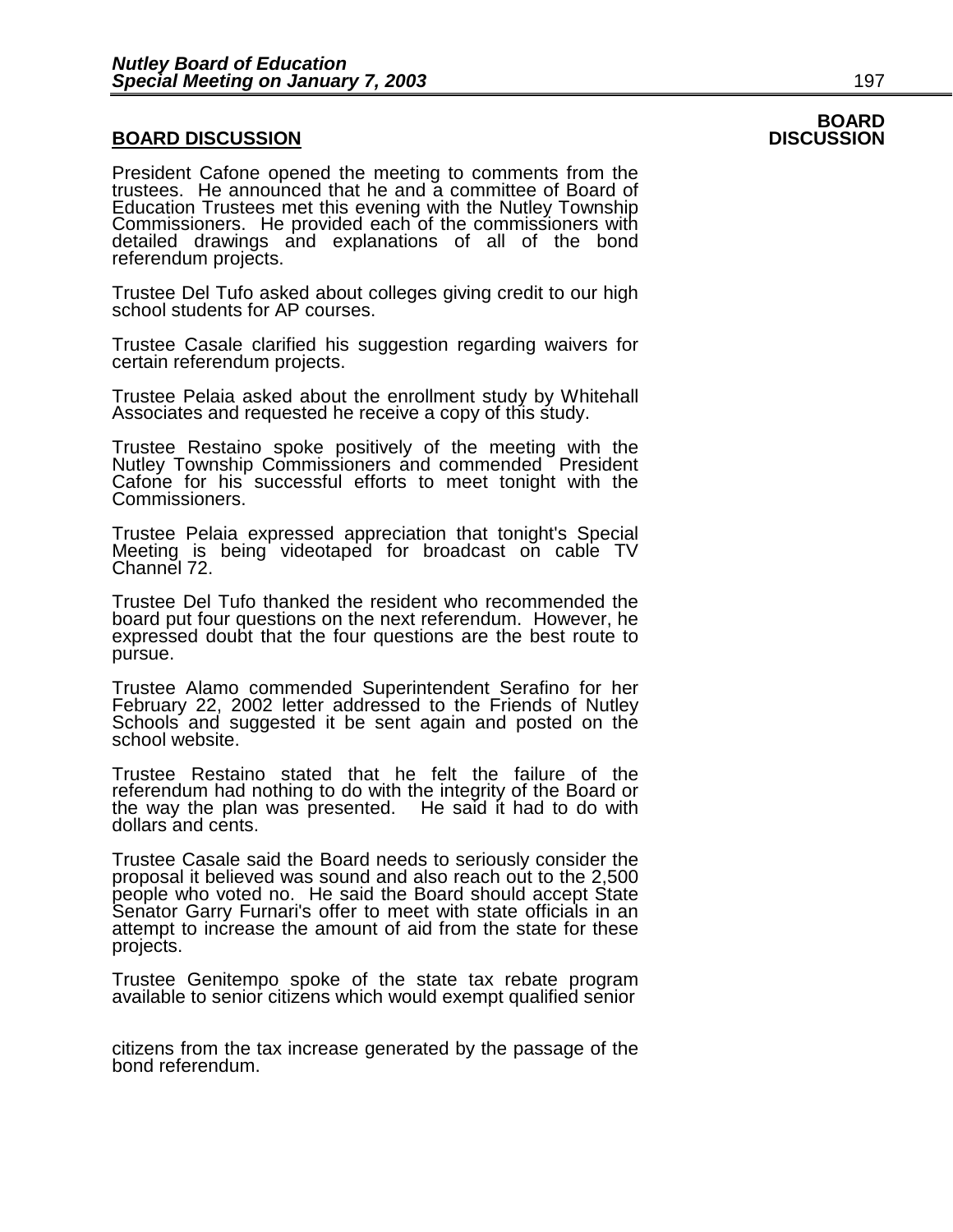## **BOARD DISCUSSION DISCUSSION**

President Cafone opened the meeting to comments from the trustees. He announced that he and a committee of Board of Education Trustees met this evening with the Nutley Township Commissioners. He provided each of the commissioners with detailed drawings and explanations of all of the bond referendum projects.

Trustee Del Tufo asked about colleges giving credit to our high school students for AP courses.

Trustee Casale clarified his suggestion regarding waivers for certain referendum projects.

Trustee Pelaia asked about the enrollment study by Whitehall Associates and requested he receive a copy of this study.

Trustee Restaino spoke positively of the meeting with the Nutley Township Commissioners and commended President Cafone for his successful efforts to meet tonight with the Commissioners.

Trustee Pelaia expressed appreciation that tonight's Special Meeting is being videotaped for broadcast on cable TV Channel 72.

Trustee Del Tufo thanked the resident who recommended the board put four questions on the next referendum. However, he expressed doubt that the four questions are the best route to pursue.

Trustee Alamo commended Superintendent Serafino for her February 22, 2002 letter addressed to the Friends of Nutley Schools and suggested it be sent again and posted on the school website.

Trustee Restaino stated that he felt the failure of the referendum had nothing to do with the integrity of the Board or the way the plan was presented. He said it had to do with dollars and cents.

Trustee Casale said the Board needs to seriously consider the proposal it believed was sound and also reach out to the 2,500 people who voted no. He said the Board should accept State Senator Garry Furnari's offer to meet with state officials in an attempt to increase the amount of aid from the state for these projects.

Trustee Genitempo spoke of the state tax rebate program available to senior citizens which would exempt qualified senior

citizens from the tax increase generated by the passage of the bond referendum.

# **BOARD**<br>DISCUSSION